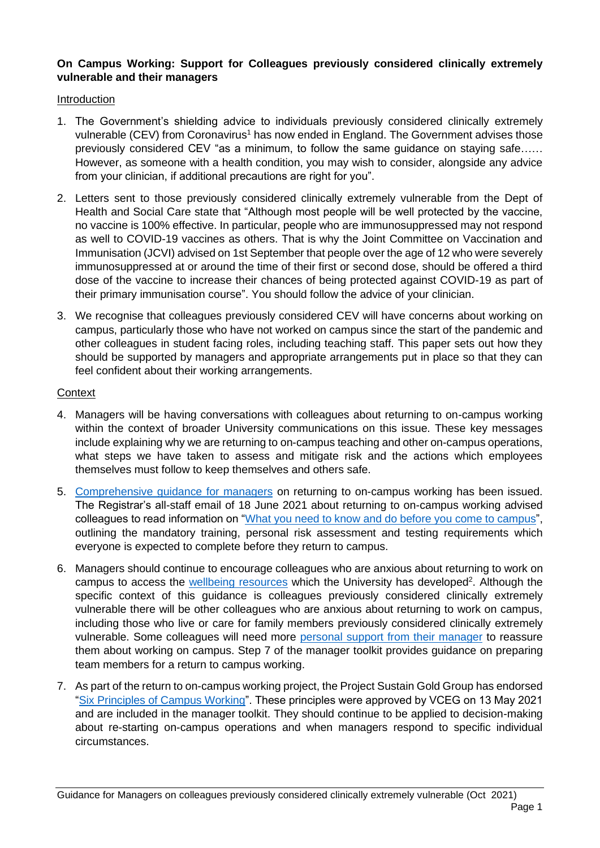# **On Campus Working: Support for Colleagues previously considered clinically extremely vulnerable and their managers**

### Introduction

- 1. The Government's shielding advice to individuals previously considered clinically extremely vulnerable (CEV) from Coronavirus<sup>1</sup> has now ended in England. The Government advises those previously considered CEV "as a minimum, to follow the same guidance on staying safe…… However, as someone with a health condition, you may wish to consider, alongside any advice from your clinician, if additional precautions are right for you".
- 2. Letters sent to those previously considered clinically extremely vulnerable from the Dept of Health and Social Care state that "Although most people will be well protected by the vaccine, no vaccine is 100% effective. In particular, people who are immunosuppressed may not respond as well to COVID-19 vaccines as others. That is why the Joint Committee on Vaccination and Immunisation (JCVI) advised on 1st September that people over the age of 12 who were severely immunosuppressed at or around the time of their first or second dose, should be offered a third dose of the vaccine to increase their chances of being protected against COVID-19 as part of their primary immunisation course". You should follow the advice of your clinician.
- 3. We recognise that colleagues previously considered CEV will have concerns about working on campus, particularly those who have not worked on campus since the start of the pandemic and other colleagues in student facing roles, including teaching staff. This paper sets out how they should be supported by managers and appropriate arrangements put in place so that they can feel confident about their working arrangements.

#### **Context**

- 4. Managers will be having conversations with colleagues about returning to on-campus working within the context of broader University communications on this issue. These key messages include explaining why we are returning to on-campus teaching and other on-campus operations, what steps we have taken to assess and mitigate risk and the actions which employees themselves must follow to keep themselves and others safe.
- 5. [Comprehensive guidance for managers](http://www.exeter.ac.uk/coronavirus/campusworking/) on returning to on-campus working has been issued. The Registrar's all-staff email of 18 June 2021 about returning to on-campus working advised colleagues to read information on ["What you need to know and do before you come to campus"](http://www.exeter.ac.uk/coronavirus/comingtocampus/staff/), outlining the mandatory training, personal risk assessment and testing requirements which everyone is expected to complete before they return to campus.
- 6. Managers should continue to encourage colleagues who are anxious about returning to work on campus to access the [wellbeing resources](http://www.exeter.ac.uk/coronavirus/wellbeing/) which the University has developed<sup>2</sup>. Although the specific context of this guidance is colleagues previously considered clinically extremely vulnerable there will be other colleagues who are anxious about returning to work on campus, including those who live or care for family members previously considered clinically extremely vulnerable. Some colleagues will need more [personal support from their manager](https://www.exeter.ac.uk/staff/employment/coronavirus/campusworking/) to reassure them about working on campus. Step 7 of the manager toolkit provides guidance on preparing team members for a return to campus working.
- 7. As part of the return to on-campus working project, the Project Sustain Gold Group has endorsed ["Six Principles of Campus Working"](https://universityofexeteruk.sharepoint.com/sites/WorkingonCampus/SitePages/Six-principles-of-campus-working.aspx). These principles were approved by VCEG on 13 May 2021 and are included in the manager toolkit. They should continue to be applied to decision-making about re-starting on-campus operations and when managers respond to specific individual circumstances.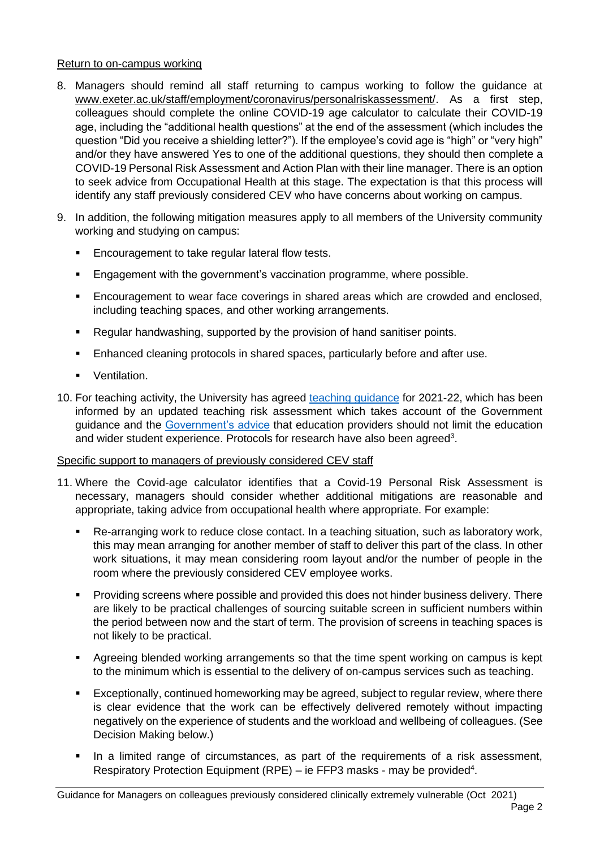### Return to on-campus working

- 8. Managers should remind all staff returning to campus working to follow the guidance at [www.exeter.ac.uk/staff/employment/coronavirus/personalriskassessment/.](http://www.exeter.ac.uk/staff/employment/coronavirus/personalriskassessment/) As a first step, colleagues should complete the online COVID-19 age calculator to calculate their COVID-19 age, including the "additional health questions" at the end of the assessment (which includes the question "Did you receive a shielding letter?"). If the employee's covid age is "high" or "very high" and/or they have answered Yes to one of the additional questions, they should then complete a COVID-19 Personal Risk Assessment and Action Plan with their line manager. There is an option to seek advice from Occupational Health at this stage. The expectation is that this process will identify any staff previously considered CEV who have concerns about working on campus.
- 9. In addition, the following mitigation measures apply to all members of the University community working and studying on campus:
	- Encouragement to take regular lateral flow tests.
	- Engagement with the government's vaccination programme, where possible.
	- **Encouragement to wear face coverings in shared areas which are crowded and enclosed.** including teaching spaces, and other working arrangements.
	- Regular handwashing, supported by the provision of hand sanitiser points.
	- Enhanced cleaning protocols in shared spaces, particularly before and after use.
	- Ventilation.
- 10. For teaching activity, the University has agreed [teaching guidance](https://www.exeter.ac.uk/coronavirus/staff/teaching/) for 2021-22, which has been informed by an updated teaching risk assessment which takes account of the Government guidance and the [Government's advice](http://www.gov.uk/government/publications/higher-education-reopening-buildings-and-campuses/higher-education-covid-19-operational-guidance) that education providers should not limit the education and wider student experience. Protocols for research have also been agreed<sup>3</sup>.

# Specific support to managers of previously considered CEV staff

- 11. Where the Covid-age calculator identifies that a Covid-19 Personal Risk Assessment is necessary, managers should consider whether additional mitigations are reasonable and appropriate, taking advice from occupational health where appropriate. For example:
	- Re-arranging work to reduce close contact. In a teaching situation, such as laboratory work, this may mean arranging for another member of staff to deliver this part of the class. In other work situations, it may mean considering room layout and/or the number of people in the room where the previously considered CEV employee works.
	- Providing screens where possible and provided this does not hinder business delivery. There are likely to be practical challenges of sourcing suitable screen in sufficient numbers within the period between now and the start of term. The provision of screens in teaching spaces is not likely to be practical.
	- Agreeing blended working arrangements so that the time spent working on campus is kept to the minimum which is essential to the delivery of on-campus services such as teaching.
	- Exceptionally, continued homeworking may be agreed, subject to regular review, where there is clear evidence that the work can be effectively delivered remotely without impacting negatively on the experience of students and the workload and wellbeing of colleagues. (See Decision Making below.)
	- In a limited range of circumstances, as part of the requirements of a risk assessment, Respiratory Protection Equipment (RPE) – ie FFP3 masks - may be provided<sup>4</sup>.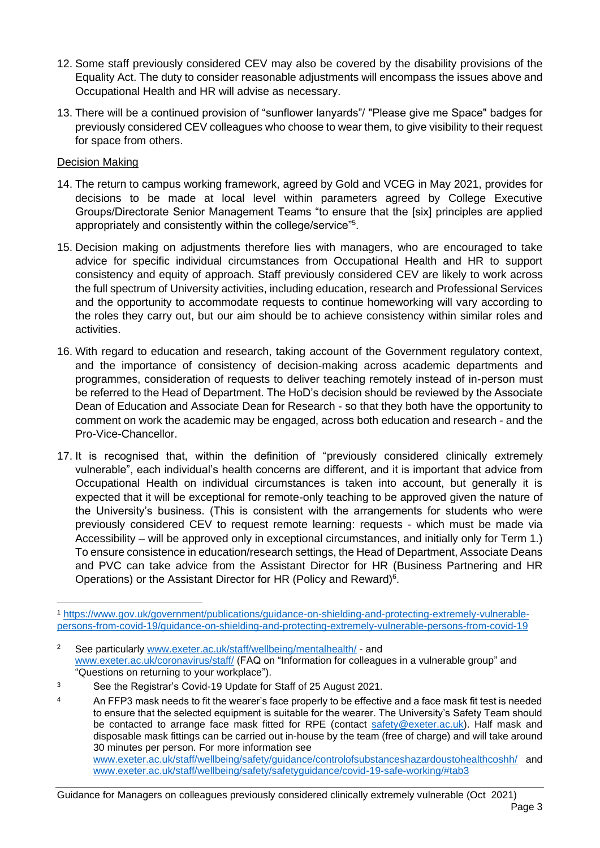- 12. Some staff previously considered CEV may also be covered by the disability provisions of the Equality Act. The duty to consider reasonable adjustments will encompass the issues above and Occupational Health and HR will advise as necessary.
- 13. There will be a continued provision of "sunflower lanyards"/ "Please give me Space" badges for previously considered CEV colleagues who choose to wear them, to give visibility to their request for space from others.

# Decision Making

- 14. The return to campus working framework, agreed by Gold and VCEG in May 2021, provides for decisions to be made at local level within parameters agreed by College Executive Groups/Directorate Senior Management Teams "to ensure that the [six] principles are applied appropriately and consistently within the college/service"<sup>5</sup> .
- 15. Decision making on adjustments therefore lies with managers, who are encouraged to take advice for specific individual circumstances from Occupational Health and HR to support consistency and equity of approach. Staff previously considered CEV are likely to work across the full spectrum of University activities, including education, research and Professional Services and the opportunity to accommodate requests to continue homeworking will vary according to the roles they carry out, but our aim should be to achieve consistency within similar roles and activities.
- 16. With regard to education and research, taking account of the Government regulatory context, and the importance of consistency of decision-making across academic departments and programmes, consideration of requests to deliver teaching remotely instead of in-person must be referred to the Head of Department. The HoD's decision should be reviewed by the Associate Dean of Education and Associate Dean for Research - so that they both have the opportunity to comment on work the academic may be engaged, across both education and research - and the Pro-Vice-Chancellor.
- 17. It is recognised that, within the definition of "previously considered clinically extremely vulnerable", each individual's health concerns are different, and it is important that advice from Occupational Health on individual circumstances is taken into account, but generally it is expected that it will be exceptional for remote-only teaching to be approved given the nature of the University's business. (This is consistent with the arrangements for students who were previously considered CEV to request remote learning: requests - which must be made via Accessibility – will be approved only in exceptional circumstances, and initially only for Term 1.) To ensure consistence in education/research settings, the Head of Department, Associate Deans and PVC can take advice from the Assistant Director for HR (Business Partnering and HR Operations) or the Assistant Director for HR (Policy and Reward)<sup>6</sup>.

<sup>1</sup> [https://www.gov.uk/government/publications/guidance-on-shielding-and-protecting-extremely-vulnerable](https://www.gov.uk/government/publications/guidance-on-shielding-and-protecting-extremely-vulnerable-persons-from-covid-19/guidance-on-shielding-and-protecting-extremely-vulnerable-persons-from-covid-19)[persons-from-covid-19/guidance-on-shielding-and-protecting-extremely-vulnerable-persons-from-covid-19](https://www.gov.uk/government/publications/guidance-on-shielding-and-protecting-extremely-vulnerable-persons-from-covid-19/guidance-on-shielding-and-protecting-extremely-vulnerable-persons-from-covid-19)

<sup>2</sup> See particularly [www.exeter.ac.uk/staff/wellbeing/mentalhealth/](https://www.exeter.ac.uk/staff/wellbeing/mentalhealth/) - and [www.exeter.ac.uk/coronavirus/staff/](https://www.exeter.ac.uk/coronavirus/staff/) (FAQ on "Information for colleagues in a vulnerable group" and "Questions on returning to your workplace").

<sup>3</sup> See the Registrar's Covid-19 Update for Staff of 25 August 2021.

<sup>&</sup>lt;sup>4</sup> An FFP3 mask needs to fit the wearer's face properly to be effective and a face mask fit test is needed to ensure that the selected equipment is suitable for the wearer. The University's Safety Team should be contacted to arrange face mask fitted for RPE (contact [safety@exeter.ac.uk\)](mailto:safety@exeter.ac.uk). Half mask and disposable mask fittings can be carried out in-house by the team (free of charge) and will take around 30 minutes per person. For more information see [www.exeter.ac.uk/staff/wellbeing/safety/guidance/controlofsubstanceshazardoustohealthcoshh/](http://www.exeter.ac.uk/staff/wellbeing/safety/guidance/controlofsubstanceshazardoustohealthcoshh/) and [www.exeter.ac.uk/staff/wellbeing/safety/safetyguidance/covid-19-safe-working/#tab3](https://www.exeter.ac.uk/staff/wellbeing/safety/safetyguidance/covid-19-safe-working/#tab3)